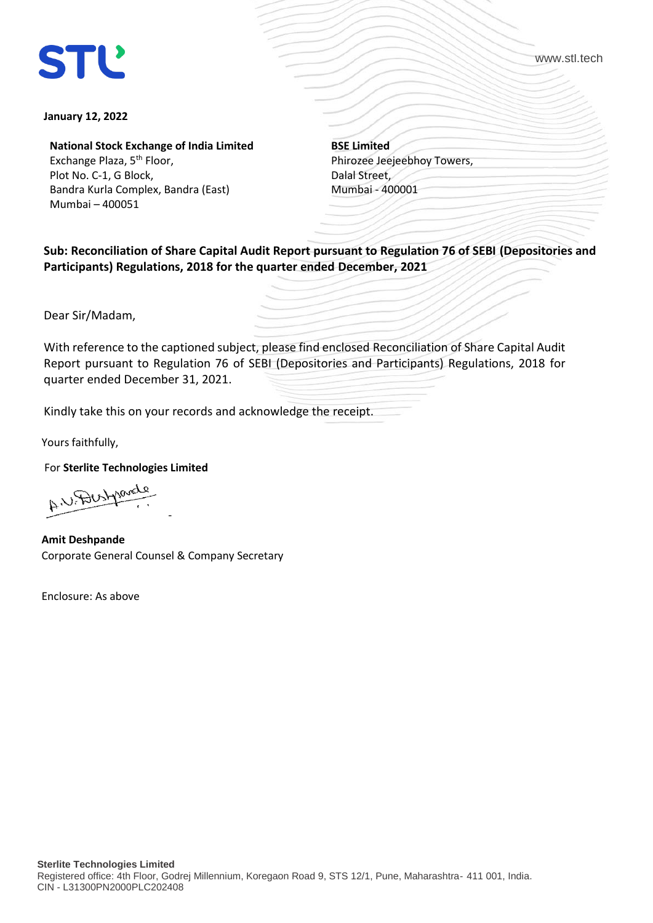www.stl.tech

## **January 12, 2022**

**National Stock Exchange of India Limited**

Exchange Plaza, 5<sup>th</sup> Floor, Plot No. C-1, G Block, Bandra Kurla Complex, Bandra (East) Mumbai – 400051

**BSE Limited** Phirozee Jeejeebhoy Towers, Dalal Street, Mumbai - 400001

**Sub: Reconciliation of Share Capital Audit Report pursuant to Regulation 76 of SEBI (Depositories and Participants) Regulations, 2018 for the quarter ended December, 2021**

Dear Sir/Madam,

With reference to the captioned subject, please find enclosed Reconciliation of Share Capital Audit Report pursuant to Regulation 76 of SEBI (Depositories and Participants) Regulations, 2018 for quarter ended December 31, 2021.

Kindly take this on your records and acknowledge the receipt.

Yours faithfully,

For **Sterlite Technologies Limited**

A U Dustparate -

**Amit Deshpande** Corporate General Counsel & Company Secretary

Enclosure: As above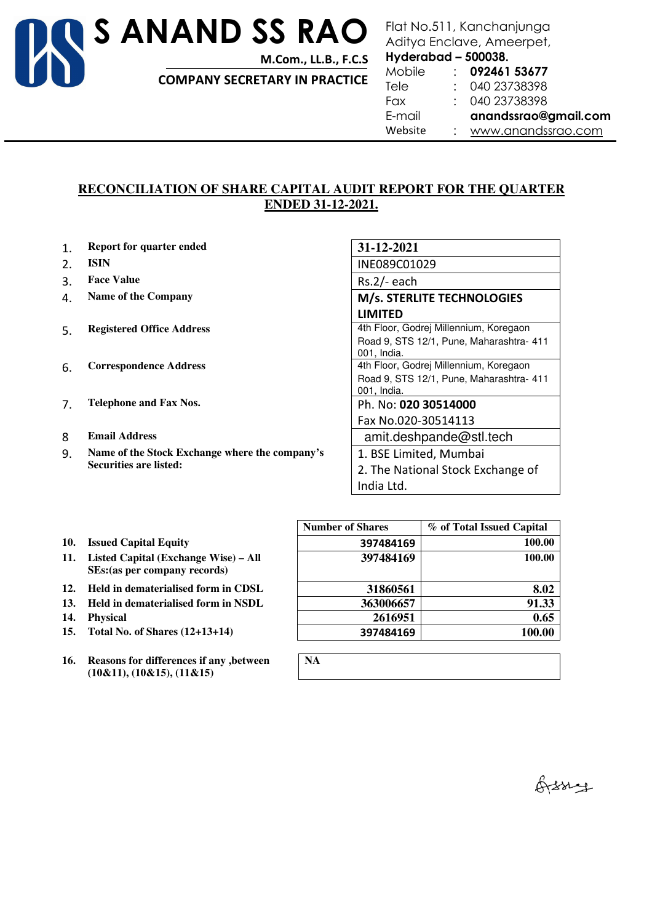

**M.Com., LL.B., F.C.S** 

**COMPANY SECRETARY IN PRACTICE** 

## Flat No.511, Kanchanjunga Aditya Enclave, Ameerpet,

**Hyderabad – 500038.** 

| Mobile  | 092461 53677         |
|---------|----------------------|
| Tele    | 040 23738398         |
| Fax     | 040 23738398         |
| E-mail  | anandssrao@gmail.com |
| Website | www.anandssrao.com   |

## **RECONCILIATION OF SHARE CAPITAL AUDIT REPORT FOR THE QUARTER ENDED 31-12-2021.**

- 1. **Report for quarter ended 31-12-2021**
- 
- 3. Face Value **Rs.2/-** each
- 
- 
- 
- 7. **Telephone and Fax Nos.** Ph. No: **020 30514000**
- 
- 9. **Name of the Stock Exchange where the company's Securities are listed:**

2. **ISIN** INE089C01029 4. Name of the Company *M/s.* **STERLITE TECHNOLOGIES LIMITED**  5. **Registered Office Address According to Accord 4th Floor, Godrej Millennium, Koregaon** Road 9, STS 12/1, Pune, Maharashtra- 411 001, India. 6. **Correspondence Address** 4th Floor, Godrej Millennium, Koregaon Road 9, STS 12/1, Pune, Maharashtra- 411 001, India. Fax No.020-30514113 8 **Email Address and Email Address and Email Address amit.deshpande@stl.tech** 1. BSE Limited, Mumbai 2. The National Stock Exchange of India Ltd.

- 10. **Issued Capital Equity**
- **11. Listed Capital (Exchange Wise) All SEs:(as per company records)**
- 12. **Held in dematerialised form in CDSL**
- **13.** Held in dematerialised form in NSDL
- 14. Physical
- **15.** Total No. of Shares  $(12+13+14)$
- **16. Reasons for differences if any ,between (10&11), (10&15), (11&15)**

|     |                                                                           | <b>Number of Shares</b> | % of Total Issued Capital |
|-----|---------------------------------------------------------------------------|-------------------------|---------------------------|
|     | 10. Issued Capital Equity                                                 | 397484169               | 100.00                    |
|     | 11. Listed Capital (Exchange Wise) – All<br>SEs: (as per company records) | 397484169               | 100.00                    |
|     | 12. Held in dematerialised form in CDSL                                   | 31860561                | 8.02                      |
|     | 13. Held in dematerialised form in NSDL                                   | 363006657               | 91.33                     |
| 14. | <b>Physical</b>                                                           | 2616951                 | 0.65                      |
|     | 15. Total No. of Shares (12+13+14)                                        | 397484169               | 100.00                    |

| NA<br>$\mathbb{R}$ |  |  |  |
|--------------------|--|--|--|
|                    |  |  |  |

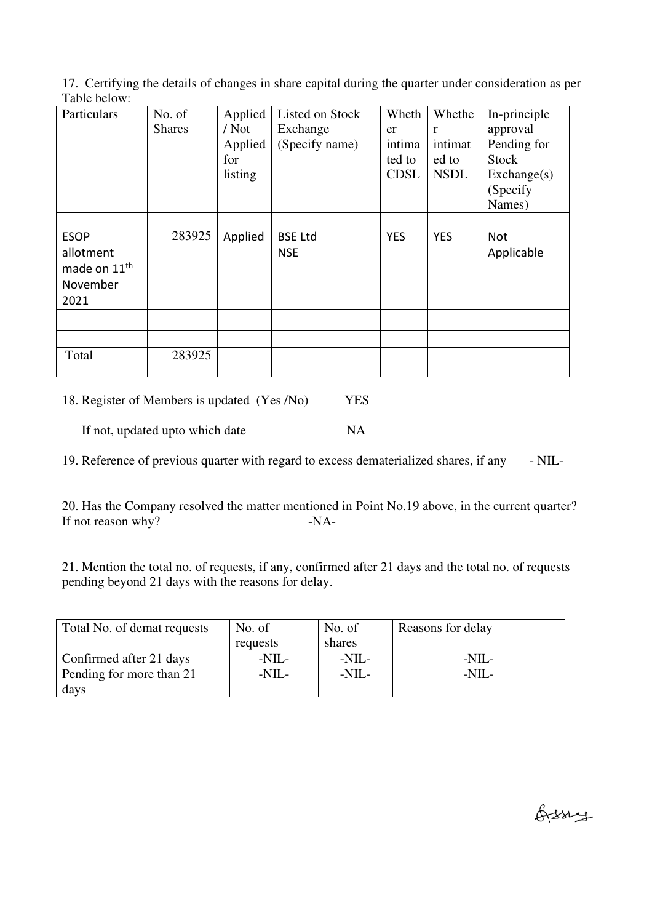17. Certifying the details of changes in share capital during the quarter under consideration as per Table below:

| Particulars                                                              | No. of<br><b>Shares</b> | Applied<br>$/$ Not<br>Applied<br>for<br>listing | Listed on Stock<br>Exchange<br>(Specify name) | Wheth<br>er<br>intima<br>ted to<br><b>CDSL</b> | Whethe<br>$\mathbf{r}$<br>intimat<br>ed to<br><b>NSDL</b> | In-principle<br>approval<br>Pending for<br><b>Stock</b><br>Exchange(s)<br>(Specify<br>Names) |
|--------------------------------------------------------------------------|-------------------------|-------------------------------------------------|-----------------------------------------------|------------------------------------------------|-----------------------------------------------------------|----------------------------------------------------------------------------------------------|
| <b>ESOP</b><br>allotment<br>made on 11 <sup>th</sup><br>November<br>2021 | 283925                  | Applied                                         | <b>BSE Ltd</b><br><b>NSE</b>                  | <b>YES</b>                                     | <b>YES</b>                                                | <b>Not</b><br>Applicable                                                                     |
|                                                                          |                         |                                                 |                                               |                                                |                                                           |                                                                                              |
| Total                                                                    | 283925                  |                                                 |                                               |                                                |                                                           |                                                                                              |

18. Register of Members is updated (Yes /No) YES

If not, updated upto which date NA

19. Reference of previous quarter with regard to excess dematerialized shares, if any - NIL-

20. Has the Company resolved the matter mentioned in Point No.19 above, in the current quarter? If not reason why? -NA-

21. Mention the total no. of requests, if any, confirmed after 21 days and the total no. of requests pending beyond 21 days with the reasons for delay.

| Total No. of demat requests | No. of   | No. of     | Reasons for delay |
|-----------------------------|----------|------------|-------------------|
|                             | requests | shares     |                   |
| Confirmed after 21 days     | $-NIL-$  | $-NII -$   | $-NII$ -          |
| Pending for more than 21    | $-NIL-$  | $-NII$ $-$ | $-NII$ .          |
| days                        |          |            |                   |

Orssige